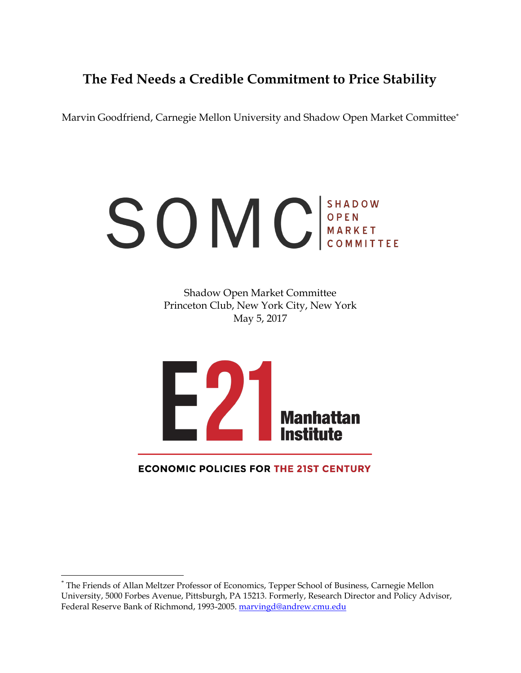# **The Fed Needs a Credible Commitment to Price Stability**

Marvin Goodfriend, Carnegie Mellon University and Shadow Open Market Committee\*

# SOMC<sup>SHADOW</sup>

Shadow Open Market Committee Princeton Club, New York City, New York May 5, 2017



**ECONOMIC POLICIES FOR THE 21ST CENTURY** 

<sup>\*</sup> The Friends of Allan Meltzer Professor of Economics, Tepper School of Business, Carnegie Mellon University, 5000 Forbes Avenue, Pittsburgh, PA 15213. Formerly, Research Director and Policy Advisor, Federal Reserve Bank of Richmond, 1993-2005[. marvingd@andrew.cmu.edu](mailto:marvingd@andrew.cmu.edu)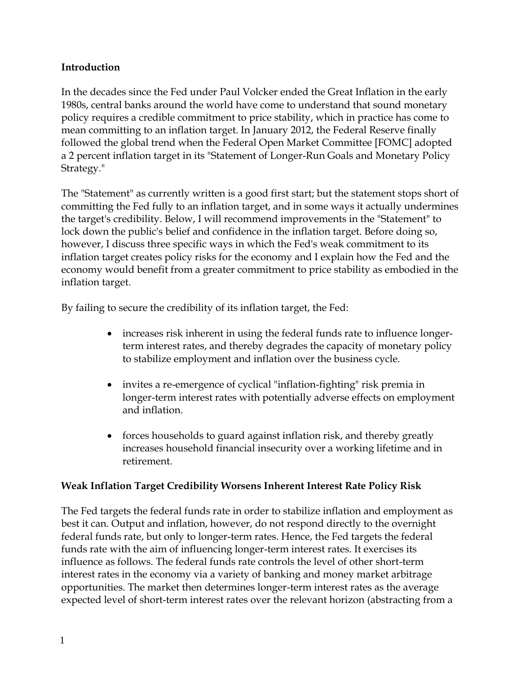### **Introduction**

In the decades since the Fed under Paul Volcker ended the Great Inflation in the early 1980s, central banks around the world have come to understand that sound monetary policy requires a credible commitment to price stability, which in practice has come to mean committing to an inflation target. In January 2012, the Federal Reserve finally followed the global trend when the Federal Open Market Committee [FOMC] adopted a 2 percent inflation target in its "Statement of Longer-Run Goals and Monetary Policy Strategy."

The "Statement" as currently written is a good first start; but the statement stops short of committing the Fed fully to an inflation target, and in some ways it actually undermines the target's credibility. Below, I will recommend improvements in the "Statement" to lock down the public's belief and confidence in the inflation target. Before doing so, however, I discuss three specific ways in which the Fed's weak commitment to its inflation target creates policy risks for the economy and I explain how the Fed and the economy would benefit from a greater commitment to price stability as embodied in the inflation target.

By failing to secure the credibility of its inflation target, the Fed:

- increases risk inherent in using the federal funds rate to influence longerterm interest rates, and thereby degrades the capacity of monetary policy to stabilize employment and inflation over the business cycle.
- invites a re-emergence of cyclical "inflation-fighting" risk premia in longer-term interest rates with potentially adverse effects on employment and inflation.
- forces households to guard against inflation risk, and thereby greatly increases household financial insecurity over a working lifetime and in retirement.

### **Weak Inflation Target Credibility Worsens Inherent Interest Rate Policy Risk**

The Fed targets the federal funds rate in order to stabilize inflation and employment as best it can. Output and inflation, however, do not respond directly to the overnight federal funds rate, but only to longer-term rates. Hence, the Fed targets the federal funds rate with the aim of influencing longer-term interest rates. It exercises its influence as follows. The federal funds rate controls the level of other short-term interest rates in the economy via a variety of banking and money market arbitrage opportunities. The market then determines longer-term interest rates as the average expected level of short-term interest rates over the relevant horizon (abstracting from a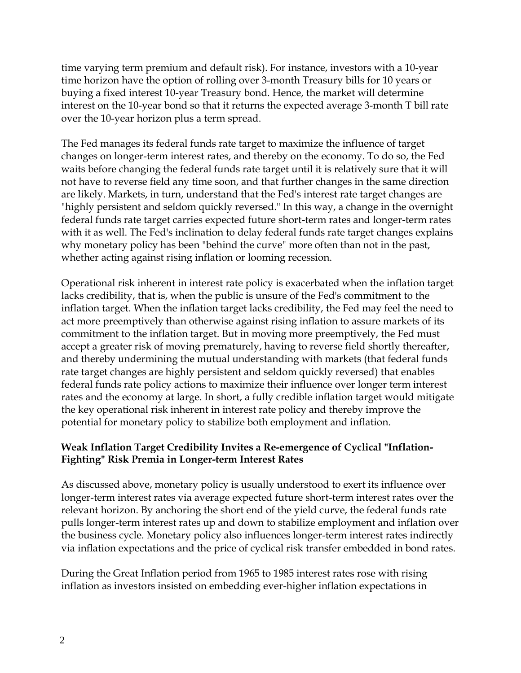time varying term premium and default risk). For instance, investors with a 10-year time horizon have the option of rolling over 3-month Treasury bills for 10 years or buying a fixed interest 10-year Treasury bond. Hence, the market will determine interest on the 10-year bond so that it returns the expected average 3-month T bill rate over the 10-year horizon plus a term spread.

The Fed manages its federal funds rate target to maximize the influence of target changes on longer-term interest rates, and thereby on the economy. To do so, the Fed waits before changing the federal funds rate target until it is relatively sure that it will not have to reverse field any time soon, and that further changes in the same direction are likely. Markets, in turn, understand that the Fed's interest rate target changes are "highly persistent and seldom quickly reversed." In this way, a change in the overnight federal funds rate target carries expected future short-term rates and longer-term rates with it as well. The Fed's inclination to delay federal funds rate target changes explains why monetary policy has been "behind the curve" more often than not in the past, whether acting against rising inflation or looming recession.

Operational risk inherent in interest rate policy is exacerbated when the inflation target lacks credibility, that is, when the public is unsure of the Fed's commitment to the inflation target. When the inflation target lacks credibility, the Fed may feel the need to act more preemptively than otherwise against rising inflation to assure markets of its commitment to the inflation target. But in moving more preemptively, the Fed must accept a greater risk of moving prematurely, having to reverse field shortly thereafter, and thereby undermining the mutual understanding with markets (that federal funds rate target changes are highly persistent and seldom quickly reversed) that enables federal funds rate policy actions to maximize their influence over longer term interest rates and the economy at large. In short, a fully credible inflation target would mitigate the key operational risk inherent in interest rate policy and thereby improve the potential for monetary policy to stabilize both employment and inflation.

### **Weak Inflation Target Credibility Invites a Re-emergence of Cyclical "Inflation-Fighting" Risk Premia in Longer-term Interest Rates**

As discussed above, monetary policy is usually understood to exert its influence over longer-term interest rates via average expected future short-term interest rates over the relevant horizon. By anchoring the short end of the yield curve, the federal funds rate pulls longer-term interest rates up and down to stabilize employment and inflation over the business cycle. Monetary policy also influences longer-term interest rates indirectly via inflation expectations and the price of cyclical risk transfer embedded in bond rates.

During the Great Inflation period from 1965 to 1985 interest rates rose with rising inflation as investors insisted on embedding ever-higher inflation expectations in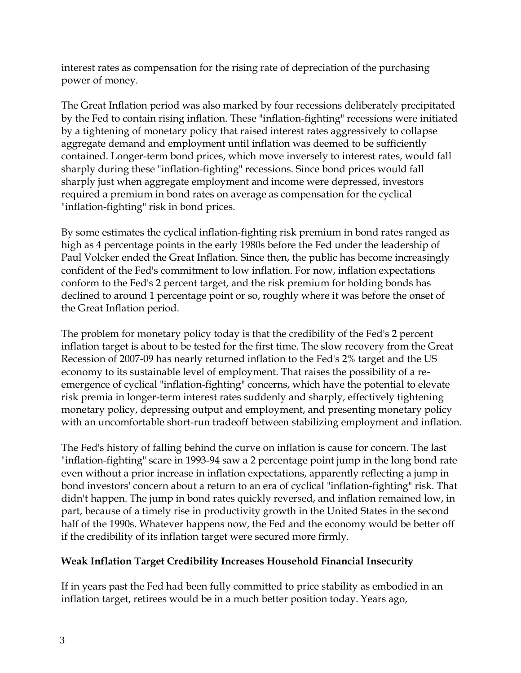interest rates as compensation for the rising rate of depreciation of the purchasing power of money.

The Great Inflation period was also marked by four recessions deliberately precipitated by the Fed to contain rising inflation. These "inflation-fighting" recessions were initiated by a tightening of monetary policy that raised interest rates aggressively to collapse aggregate demand and employment until inflation was deemed to be sufficiently contained. Longer-term bond prices, which move inversely to interest rates, would fall sharply during these "inflation-fighting" recessions. Since bond prices would fall sharply just when aggregate employment and income were depressed, investors required a premium in bond rates on average as compensation for the cyclical "inflation-fighting" risk in bond prices.

By some estimates the cyclical inflation-fighting risk premium in bond rates ranged as high as 4 percentage points in the early 1980s before the Fed under the leadership of Paul Volcker ended the Great Inflation. Since then, the public has become increasingly confident of the Fed's commitment to low inflation. For now, inflation expectations conform to the Fed's 2 percent target, and the risk premium for holding bonds has declined to around 1 percentage point or so, roughly where it was before the onset of the Great Inflation period.

The problem for monetary policy today is that the credibility of the Fed's 2 percent inflation target is about to be tested for the first time. The slow recovery from the Great Recession of 2007-09 has nearly returned inflation to the Fed's 2% target and the US economy to its sustainable level of employment. That raises the possibility of a reemergence of cyclical "inflation-fighting" concerns, which have the potential to elevate risk premia in longer-term interest rates suddenly and sharply, effectively tightening monetary policy, depressing output and employment, and presenting monetary policy with an uncomfortable short-run tradeoff between stabilizing employment and inflation.

The Fed's history of falling behind the curve on inflation is cause for concern. The last "inflation-fighting" scare in 1993-94 saw a 2 percentage point jump in the long bond rate even without a prior increase in inflation expectations, apparently reflecting a jump in bond investors' concern about a return to an era of cyclical "inflation-fighting" risk. That didn't happen. The jump in bond rates quickly reversed, and inflation remained low, in part, because of a timely rise in productivity growth in the United States in the second half of the 1990s. Whatever happens now, the Fed and the economy would be better off if the credibility of its inflation target were secured more firmly.

## **Weak Inflation Target Credibility Increases Household Financial Insecurity**

If in years past the Fed had been fully committed to price stability as embodied in an inflation target, retirees would be in a much better position today. Years ago,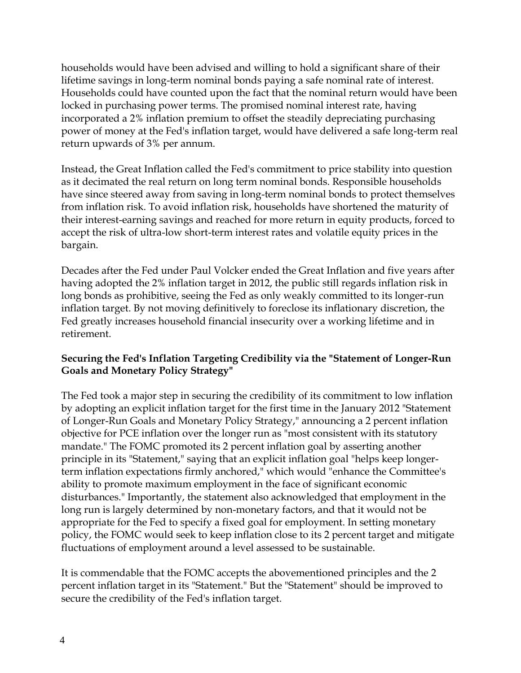households would have been advised and willing to hold a significant share of their lifetime savings in long-term nominal bonds paying a safe nominal rate of interest. Households could have counted upon the fact that the nominal return would have been locked in purchasing power terms. The promised nominal interest rate, having incorporated a 2% inflation premium to offset the steadily depreciating purchasing power of money at the Fed's inflation target, would have delivered a safe long-term real return upwards of 3% per annum.

Instead, the Great Inflation called the Fed's commitment to price stability into question as it decimated the real return on long term nominal bonds. Responsible households have since steered away from saving in long-term nominal bonds to protect themselves from inflation risk. To avoid inflation risk, households have shortened the maturity of their interest-earning savings and reached for more return in equity products, forced to accept the risk of ultra-low short-term interest rates and volatile equity prices in the bargain.

Decades after the Fed under Paul Volcker ended the Great Inflation and five years after having adopted the 2% inflation target in 2012, the public still regards inflation risk in long bonds as prohibitive, seeing the Fed as only weakly committed to its longer-run inflation target. By not moving definitively to foreclose its inflationary discretion, the Fed greatly increases household financial insecurity over a working lifetime and in retirement.

### **Securing the Fed's Inflation Targeting Credibility via the "Statement of Longer-Run Goals and Monetary Policy Strategy"**

The Fed took a major step in securing the credibility of its commitment to low inflation by adopting an explicit inflation target for the first time in the January 2012 "Statement of Longer-Run Goals and Monetary Policy Strategy," announcing a 2 percent inflation objective for PCE inflation over the longer run as "most consistent with its statutory mandate." The FOMC promoted its 2 percent inflation goal by asserting another principle in its "Statement," saying that an explicit inflation goal "helps keep longerterm inflation expectations firmly anchored," which would "enhance the Committee's ability to promote maximum employment in the face of significant economic disturbances." Importantly, the statement also acknowledged that employment in the long run is largely determined by non-monetary factors, and that it would not be appropriate for the Fed to specify a fixed goal for employment. In setting monetary policy, the FOMC would seek to keep inflation close to its 2 percent target and mitigate fluctuations of employment around a level assessed to be sustainable.

It is commendable that the FOMC accepts the abovementioned principles and the 2 percent inflation target in its "Statement." But the "Statement" should be improved to secure the credibility of the Fed's inflation target.